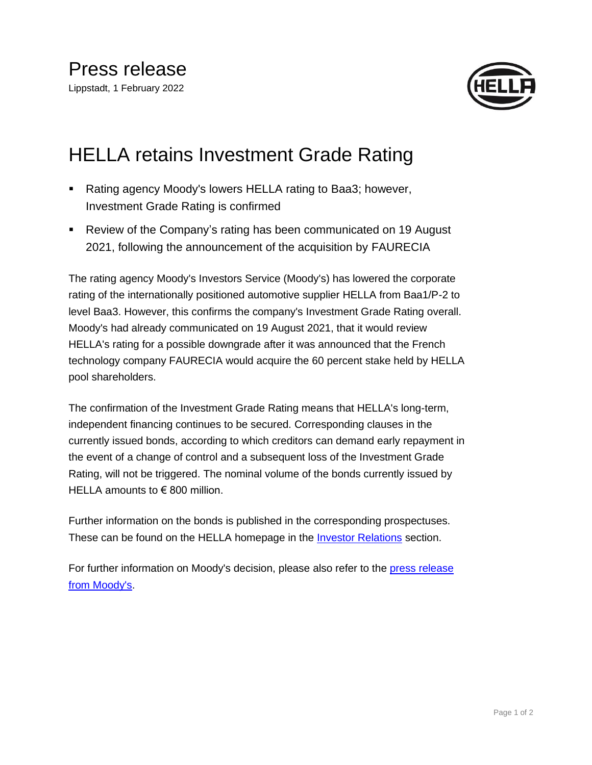

## HELLA retains Investment Grade Rating

- Rating agency Moody's lowers HELLA rating to Baa3; however, Investment Grade Rating is confirmed
- Review of the Company's rating has been communicated on 19 August 2021, following the announcement of the acquisition by FAURECIA

The rating agency Moody's Investors Service (Moody's) has lowered the corporate rating of the internationally positioned automotive supplier HELLA from Baa1/P-2 to level Baa3. However, this confirms the company's Investment Grade Rating overall. Moody's had already communicated on 19 August 2021, that it would review HELLA's rating for a possible downgrade after it was announced that the French technology company FAURECIA would acquire the 60 percent stake held by HELLA pool shareholders.

The confirmation of the Investment Grade Rating means that HELLA's long-term, independent financing continues to be secured. Corresponding clauses in the currently issued bonds, according to which creditors can demand early repayment in the event of a change of control and a subsequent loss of the Investment Grade Rating, will not be triggered. The nominal volume of the bonds currently issued by HELLA amounts to €800 million.

Further information on the bonds is published in the corresponding prospectuses. These can be found on the HELLA homepage in the [Investor Relations](https://www.hella.com/hella-com/en/Corporate-bonds-8747.html) section.

For further information on Moody's decision, please also refer to the press release [from Moody's.](https://www.hella.com/hella-com/assets/media/Rating_Action-Moodys-downgrades-HELLA-to-Baa3-with-negative-outlook-01Feb22.pdf)